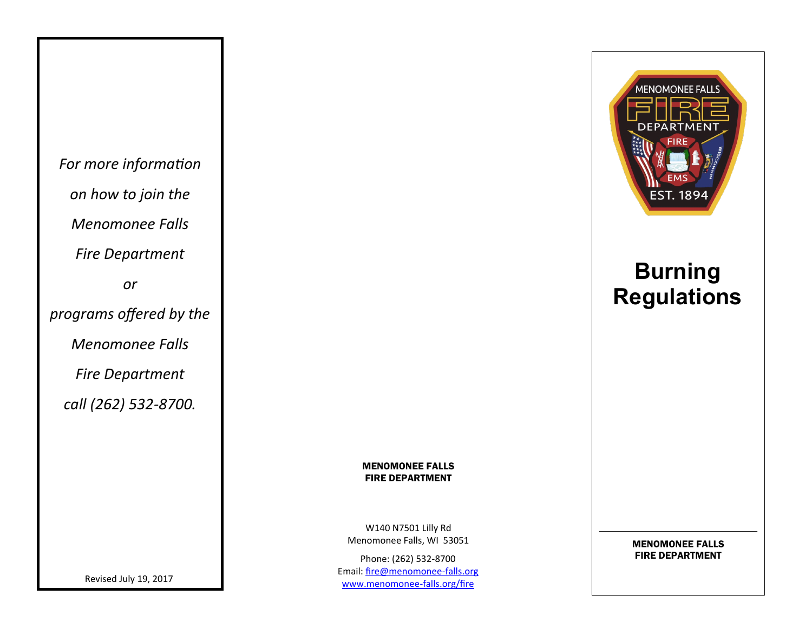*For more information on how to join the Menomonee Falls Fire Department or programs offered by the Menomonee Falls Fire Department call (262) 532-8700.*

**MENOMONEE FALLS EST. 1894** 

# **Burning Regulations**

#### MENOMONEE FALLS FIRE DEPARTMENT

W140 N7501 Lilly Rd Menomonee Falls, WI 53051

Phone: (262) 532-8700 Email: [fire@menomonee](mailto:fire@menomonee-falls.org)-falls.org [www.menomonee](http://www.menomonee-falls.org/fire)-falls.org/fire

MENOMONEE FALLS FIRE DEPARTMENT

Revised July 19, 2017